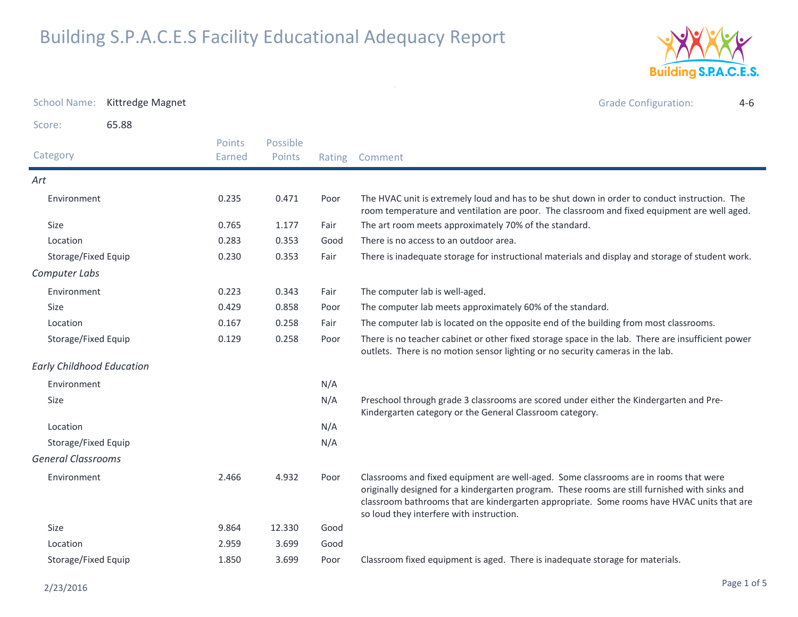

| <b>School Name:</b>              | Kittredge Magnet |                         |                    |        | <b>Grade Configuration:</b><br>$4 - 6$                                                                                                                                                                                                                                                                                           |
|----------------------------------|------------------|-------------------------|--------------------|--------|----------------------------------------------------------------------------------------------------------------------------------------------------------------------------------------------------------------------------------------------------------------------------------------------------------------------------------|
| Score:                           | 65.88            |                         |                    |        |                                                                                                                                                                                                                                                                                                                                  |
| Category                         |                  | <b>Points</b><br>Earned | Possible<br>Points | Rating | Comment                                                                                                                                                                                                                                                                                                                          |
| Art                              |                  |                         |                    |        |                                                                                                                                                                                                                                                                                                                                  |
| Environment                      |                  | 0.235                   | 0.471              | Poor   | The HVAC unit is extremely loud and has to be shut down in order to conduct instruction. The<br>room temperature and ventilation are poor. The classroom and fixed equipment are well aged.                                                                                                                                      |
| Size                             |                  | 0.765                   | 1.177              | Fair   | The art room meets approximately 70% of the standard.                                                                                                                                                                                                                                                                            |
| Location                         |                  | 0.283                   | 0.353              | Good   | There is no access to an outdoor area.                                                                                                                                                                                                                                                                                           |
| Storage/Fixed Equip              |                  | 0.230                   | 0.353              | Fair   | There is inadequate storage for instructional materials and display and storage of student work.                                                                                                                                                                                                                                 |
| Computer Labs                    |                  |                         |                    |        |                                                                                                                                                                                                                                                                                                                                  |
| Environment                      |                  | 0.223                   | 0.343              | Fair   | The computer lab is well-aged.                                                                                                                                                                                                                                                                                                   |
| <b>Size</b>                      |                  | 0.429                   | 0.858              | Poor   | The computer lab meets approximately 60% of the standard.                                                                                                                                                                                                                                                                        |
| Location                         |                  | 0.167                   | 0.258              | Fair   | The computer lab is located on the opposite end of the building from most classrooms.                                                                                                                                                                                                                                            |
| Storage/Fixed Equip              |                  | 0.129                   | 0.258              | Poor   | There is no teacher cabinet or other fixed storage space in the lab. There are insufficient power<br>outlets. There is no motion sensor lighting or no security cameras in the lab.                                                                                                                                              |
| <b>Early Childhood Education</b> |                  |                         |                    |        |                                                                                                                                                                                                                                                                                                                                  |
| Environment                      |                  |                         |                    | N/A    |                                                                                                                                                                                                                                                                                                                                  |
| <b>Size</b>                      |                  |                         |                    | N/A    | Preschool through grade 3 classrooms are scored under either the Kindergarten and Pre-<br>Kindergarten category or the General Classroom category.                                                                                                                                                                               |
| Location                         |                  |                         |                    | N/A    |                                                                                                                                                                                                                                                                                                                                  |
| Storage/Fixed Equip              |                  |                         |                    | N/A    |                                                                                                                                                                                                                                                                                                                                  |
| <b>General Classrooms</b>        |                  |                         |                    |        |                                                                                                                                                                                                                                                                                                                                  |
| Environment                      |                  | 2.466                   | 4.932              | Poor   | Classrooms and fixed equipment are well-aged. Some classrooms are in rooms that were<br>originally designed for a kindergarten program. These rooms are still furnished with sinks and<br>classroom bathrooms that are kindergarten appropriate. Some rooms have HVAC units that are<br>so loud they interfere with instruction. |
| Size                             |                  | 9.864                   | 12.330             | Good   |                                                                                                                                                                                                                                                                                                                                  |
| Location                         |                  | 2.959                   | 3.699              | Good   |                                                                                                                                                                                                                                                                                                                                  |
| Storage/Fixed Equip              |                  | 1.850                   | 3.699              | Poor   | Classroom fixed equipment is aged. There is inadequate storage for materials.                                                                                                                                                                                                                                                    |

 $\sim$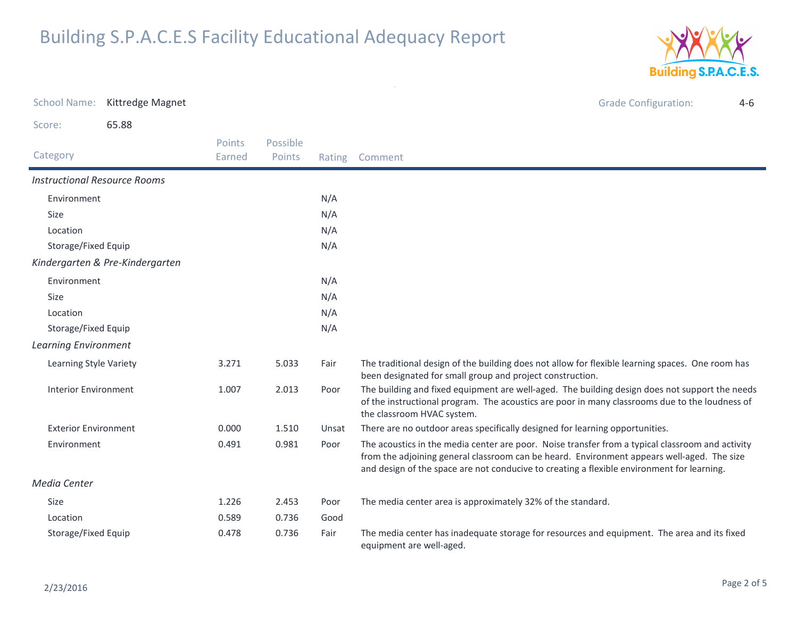

| <b>School Name:</b>                 | Kittredge Magnet                |                  |                    |        | <b>Grade Configuration:</b><br>$4-6$                                                                                                                                                                                                                                                         |
|-------------------------------------|---------------------------------|------------------|--------------------|--------|----------------------------------------------------------------------------------------------------------------------------------------------------------------------------------------------------------------------------------------------------------------------------------------------|
| Score:                              | 65.88                           |                  |                    |        |                                                                                                                                                                                                                                                                                              |
| Category                            |                                 | Points<br>Earned | Possible<br>Points | Rating | Comment                                                                                                                                                                                                                                                                                      |
| <b>Instructional Resource Rooms</b> |                                 |                  |                    |        |                                                                                                                                                                                                                                                                                              |
| Environment                         |                                 |                  |                    | N/A    |                                                                                                                                                                                                                                                                                              |
| Size                                |                                 |                  |                    | N/A    |                                                                                                                                                                                                                                                                                              |
| Location                            |                                 |                  |                    | N/A    |                                                                                                                                                                                                                                                                                              |
| Storage/Fixed Equip                 |                                 |                  |                    | N/A    |                                                                                                                                                                                                                                                                                              |
|                                     | Kindergarten & Pre-Kindergarten |                  |                    |        |                                                                                                                                                                                                                                                                                              |
| Environment                         |                                 |                  |                    | N/A    |                                                                                                                                                                                                                                                                                              |
| Size                                |                                 |                  |                    | N/A    |                                                                                                                                                                                                                                                                                              |
| Location                            |                                 |                  |                    | N/A    |                                                                                                                                                                                                                                                                                              |
| Storage/Fixed Equip                 |                                 |                  |                    | N/A    |                                                                                                                                                                                                                                                                                              |
| <b>Learning Environment</b>         |                                 |                  |                    |        |                                                                                                                                                                                                                                                                                              |
| Learning Style Variety              |                                 | 3.271            | 5.033              | Fair   | The traditional design of the building does not allow for flexible learning spaces. One room has<br>been designated for small group and project construction.                                                                                                                                |
| <b>Interior Environment</b>         |                                 | 1.007            | 2.013              | Poor   | The building and fixed equipment are well-aged. The building design does not support the needs<br>of the instructional program. The acoustics are poor in many classrooms due to the loudness of<br>the classroom HVAC system.                                                               |
| <b>Exterior Environment</b>         |                                 | 0.000            | 1.510              | Unsat  | There are no outdoor areas specifically designed for learning opportunities.                                                                                                                                                                                                                 |
| Environment                         |                                 | 0.491            | 0.981              | Poor   | The acoustics in the media center are poor. Noise transfer from a typical classroom and activity<br>from the adjoining general classroom can be heard. Environment appears well-aged. The size<br>and design of the space are not conducive to creating a flexible environment for learning. |
| Media Center                        |                                 |                  |                    |        |                                                                                                                                                                                                                                                                                              |
| Size                                |                                 | 1.226            | 2.453              | Poor   | The media center area is approximately 32% of the standard.                                                                                                                                                                                                                                  |
| Location                            |                                 | 0.589            | 0.736              | Good   |                                                                                                                                                                                                                                                                                              |
| Storage/Fixed Equip                 |                                 | 0.478            | 0.736              | Fair   | The media center has inadequate storage for resources and equipment. The area and its fixed<br>equipment are well-aged.                                                                                                                                                                      |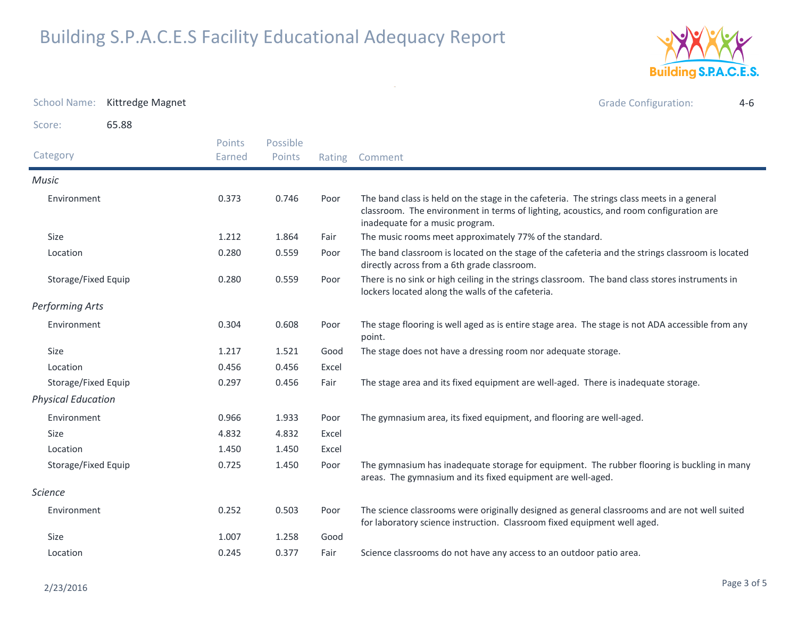

| <b>School Name:</b>       | Kittredge Magnet |                  |                    |        | <b>Grade Configuration:</b><br>$4 - 6$                                                                                                                                                                                  |
|---------------------------|------------------|------------------|--------------------|--------|-------------------------------------------------------------------------------------------------------------------------------------------------------------------------------------------------------------------------|
| Score:                    | 65.88            |                  |                    |        |                                                                                                                                                                                                                         |
| Category                  |                  | Points<br>Earned | Possible<br>Points | Rating | Comment                                                                                                                                                                                                                 |
| Music                     |                  |                  |                    |        |                                                                                                                                                                                                                         |
| Environment               |                  | 0.373            | 0.746              | Poor   | The band class is held on the stage in the cafeteria. The strings class meets in a general<br>classroom. The environment in terms of lighting, acoustics, and room configuration are<br>inadequate for a music program. |
| Size                      |                  | 1.212            | 1.864              | Fair   | The music rooms meet approximately 77% of the standard.                                                                                                                                                                 |
| Location                  |                  | 0.280            | 0.559              | Poor   | The band classroom is located on the stage of the cafeteria and the strings classroom is located<br>directly across from a 6th grade classroom.                                                                         |
| Storage/Fixed Equip       |                  | 0.280            | 0.559              | Poor   | There is no sink or high ceiling in the strings classroom. The band class stores instruments in<br>lockers located along the walls of the cafeteria.                                                                    |
| <b>Performing Arts</b>    |                  |                  |                    |        |                                                                                                                                                                                                                         |
| Environment               |                  | 0.304            | 0.608              | Poor   | The stage flooring is well aged as is entire stage area. The stage is not ADA accessible from any<br>point.                                                                                                             |
| <b>Size</b>               |                  | 1.217            | 1.521              | Good   | The stage does not have a dressing room nor adequate storage.                                                                                                                                                           |
| Location                  |                  | 0.456            | 0.456              | Excel  |                                                                                                                                                                                                                         |
| Storage/Fixed Equip       |                  | 0.297            | 0.456              | Fair   | The stage area and its fixed equipment are well-aged. There is inadequate storage.                                                                                                                                      |
| <b>Physical Education</b> |                  |                  |                    |        |                                                                                                                                                                                                                         |
| Environment               |                  | 0.966            | 1.933              | Poor   | The gymnasium area, its fixed equipment, and flooring are well-aged.                                                                                                                                                    |
| <b>Size</b>               |                  | 4.832            | 4.832              | Excel  |                                                                                                                                                                                                                         |
| Location                  |                  | 1.450            | 1.450              | Excel  |                                                                                                                                                                                                                         |
| Storage/Fixed Equip       |                  | 0.725            | 1.450              | Poor   | The gymnasium has inadequate storage for equipment. The rubber flooring is buckling in many<br>areas. The gymnasium and its fixed equipment are well-aged.                                                              |
| <b>Science</b>            |                  |                  |                    |        |                                                                                                                                                                                                                         |
| Environment               |                  | 0.252            | 0.503              | Poor   | The science classrooms were originally designed as general classrooms and are not well suited<br>for laboratory science instruction. Classroom fixed equipment well aged.                                               |
| <b>Size</b>               |                  | 1.007            | 1.258              | Good   |                                                                                                                                                                                                                         |
| Location                  |                  | 0.245            | 0.377              | Fair   | Science classrooms do not have any access to an outdoor patio area.                                                                                                                                                     |

 $\sim$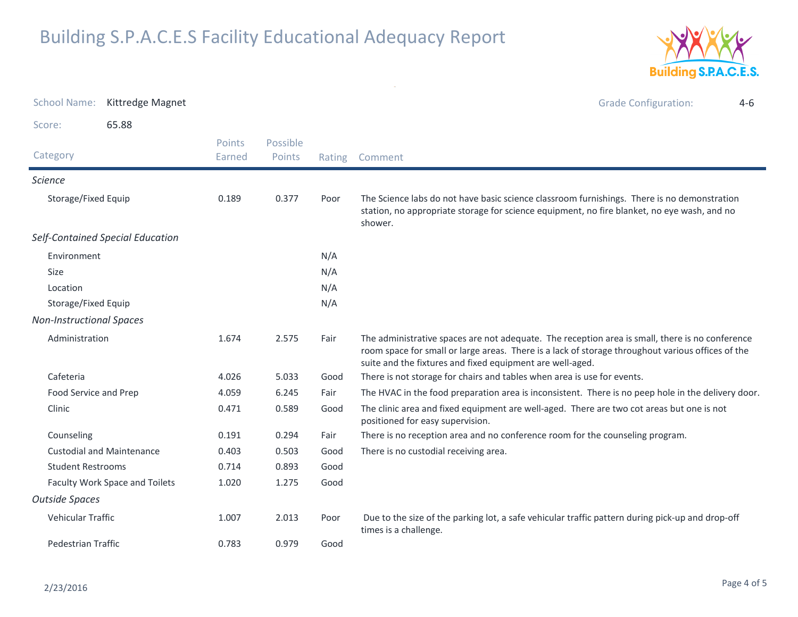

| <b>School Name:</b><br>Kittredge Magnet<br>65.88<br>Score:<br>Possible<br><b>Points</b><br>Category<br>Points<br>Earned<br>Rating<br>Comment<br><b>Science</b><br>Storage/Fixed Equip<br>0.189<br>0.377<br>Poor<br>shower.<br>Self-Contained Special Education<br>N/A<br>Environment<br>N/A<br><b>Size</b><br>Location<br>N/A<br>N/A<br>Storage/Fixed Equip<br><b>Non-Instructional Spaces</b><br>Administration<br>2.575<br>1.674<br>Fair<br>suite and the fixtures and fixed equipment are well-aged.<br>Cafeteria<br>5.033<br>There is not storage for chairs and tables when area is use for events.<br>4.026<br>Good<br>Food Service and Prep<br>4.059<br>6.245<br>Fair<br>Clinic<br>0.471<br>0.589<br>Good<br>positioned for easy supervision.<br>Counseling<br>0.191<br>0.294<br>Fair<br><b>Custodial and Maintenance</b><br>There is no custodial receiving area.<br>0.403<br>0.503<br>Good<br>0.714<br>0.893<br><b>Student Restrooms</b><br>Good<br>Faculty Work Space and Toilets<br>1.275<br>1.020<br>Good<br><b>Outside Spaces</b><br>Vehicular Traffic<br>1.007<br>2.013<br>Poor<br>times is a challenge.<br>0.979<br>Pedestrian Traffic<br>0.783<br>Good |  |  |  |                                                                                                                                                                                                      |
|------------------------------------------------------------------------------------------------------------------------------------------------------------------------------------------------------------------------------------------------------------------------------------------------------------------------------------------------------------------------------------------------------------------------------------------------------------------------------------------------------------------------------------------------------------------------------------------------------------------------------------------------------------------------------------------------------------------------------------------------------------------------------------------------------------------------------------------------------------------------------------------------------------------------------------------------------------------------------------------------------------------------------------------------------------------------------------------------------------------------------------------------------------------------|--|--|--|------------------------------------------------------------------------------------------------------------------------------------------------------------------------------------------------------|
|                                                                                                                                                                                                                                                                                                                                                                                                                                                                                                                                                                                                                                                                                                                                                                                                                                                                                                                                                                                                                                                                                                                                                                        |  |  |  | <b>Grade Configuration:</b><br>$4-6$                                                                                                                                                                 |
|                                                                                                                                                                                                                                                                                                                                                                                                                                                                                                                                                                                                                                                                                                                                                                                                                                                                                                                                                                                                                                                                                                                                                                        |  |  |  |                                                                                                                                                                                                      |
|                                                                                                                                                                                                                                                                                                                                                                                                                                                                                                                                                                                                                                                                                                                                                                                                                                                                                                                                                                                                                                                                                                                                                                        |  |  |  |                                                                                                                                                                                                      |
|                                                                                                                                                                                                                                                                                                                                                                                                                                                                                                                                                                                                                                                                                                                                                                                                                                                                                                                                                                                                                                                                                                                                                                        |  |  |  |                                                                                                                                                                                                      |
|                                                                                                                                                                                                                                                                                                                                                                                                                                                                                                                                                                                                                                                                                                                                                                                                                                                                                                                                                                                                                                                                                                                                                                        |  |  |  | The Science labs do not have basic science classroom furnishings. There is no demonstration<br>station, no appropriate storage for science equipment, no fire blanket, no eye wash, and no           |
|                                                                                                                                                                                                                                                                                                                                                                                                                                                                                                                                                                                                                                                                                                                                                                                                                                                                                                                                                                                                                                                                                                                                                                        |  |  |  |                                                                                                                                                                                                      |
|                                                                                                                                                                                                                                                                                                                                                                                                                                                                                                                                                                                                                                                                                                                                                                                                                                                                                                                                                                                                                                                                                                                                                                        |  |  |  |                                                                                                                                                                                                      |
|                                                                                                                                                                                                                                                                                                                                                                                                                                                                                                                                                                                                                                                                                                                                                                                                                                                                                                                                                                                                                                                                                                                                                                        |  |  |  |                                                                                                                                                                                                      |
|                                                                                                                                                                                                                                                                                                                                                                                                                                                                                                                                                                                                                                                                                                                                                                                                                                                                                                                                                                                                                                                                                                                                                                        |  |  |  |                                                                                                                                                                                                      |
|                                                                                                                                                                                                                                                                                                                                                                                                                                                                                                                                                                                                                                                                                                                                                                                                                                                                                                                                                                                                                                                                                                                                                                        |  |  |  |                                                                                                                                                                                                      |
|                                                                                                                                                                                                                                                                                                                                                                                                                                                                                                                                                                                                                                                                                                                                                                                                                                                                                                                                                                                                                                                                                                                                                                        |  |  |  |                                                                                                                                                                                                      |
|                                                                                                                                                                                                                                                                                                                                                                                                                                                                                                                                                                                                                                                                                                                                                                                                                                                                                                                                                                                                                                                                                                                                                                        |  |  |  | The administrative spaces are not adequate. The reception area is small, there is no conference<br>room space for small or large areas. There is a lack of storage throughout various offices of the |
|                                                                                                                                                                                                                                                                                                                                                                                                                                                                                                                                                                                                                                                                                                                                                                                                                                                                                                                                                                                                                                                                                                                                                                        |  |  |  |                                                                                                                                                                                                      |
|                                                                                                                                                                                                                                                                                                                                                                                                                                                                                                                                                                                                                                                                                                                                                                                                                                                                                                                                                                                                                                                                                                                                                                        |  |  |  | The HVAC in the food preparation area is inconsistent. There is no peep hole in the delivery door.                                                                                                   |
|                                                                                                                                                                                                                                                                                                                                                                                                                                                                                                                                                                                                                                                                                                                                                                                                                                                                                                                                                                                                                                                                                                                                                                        |  |  |  | The clinic area and fixed equipment are well-aged. There are two cot areas but one is not                                                                                                            |
|                                                                                                                                                                                                                                                                                                                                                                                                                                                                                                                                                                                                                                                                                                                                                                                                                                                                                                                                                                                                                                                                                                                                                                        |  |  |  | There is no reception area and no conference room for the counseling program.                                                                                                                        |
|                                                                                                                                                                                                                                                                                                                                                                                                                                                                                                                                                                                                                                                                                                                                                                                                                                                                                                                                                                                                                                                                                                                                                                        |  |  |  |                                                                                                                                                                                                      |
|                                                                                                                                                                                                                                                                                                                                                                                                                                                                                                                                                                                                                                                                                                                                                                                                                                                                                                                                                                                                                                                                                                                                                                        |  |  |  |                                                                                                                                                                                                      |
|                                                                                                                                                                                                                                                                                                                                                                                                                                                                                                                                                                                                                                                                                                                                                                                                                                                                                                                                                                                                                                                                                                                                                                        |  |  |  |                                                                                                                                                                                                      |
|                                                                                                                                                                                                                                                                                                                                                                                                                                                                                                                                                                                                                                                                                                                                                                                                                                                                                                                                                                                                                                                                                                                                                                        |  |  |  |                                                                                                                                                                                                      |
|                                                                                                                                                                                                                                                                                                                                                                                                                                                                                                                                                                                                                                                                                                                                                                                                                                                                                                                                                                                                                                                                                                                                                                        |  |  |  | Due to the size of the parking lot, a safe vehicular traffic pattern during pick-up and drop-off                                                                                                     |
|                                                                                                                                                                                                                                                                                                                                                                                                                                                                                                                                                                                                                                                                                                                                                                                                                                                                                                                                                                                                                                                                                                                                                                        |  |  |  |                                                                                                                                                                                                      |